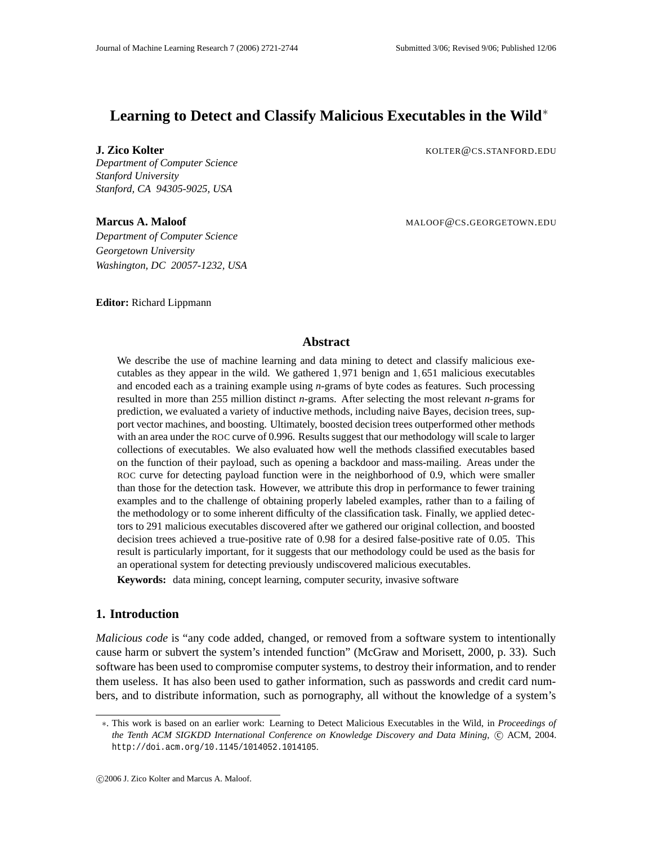# **Learning to Detect and Classify Malicious Executables in the Wild**<sup>∗</sup>

**J. Zico Kolter College Contract Contract Contract Contract Contract Contract Contract Contract Contract Contract Contract Contract Contract Contract Contract Contract Contract Contract Contract Contract Contract Contrac** 

*Department of Computer Science Stanford University Stanford, CA 94305-9025, USA*

**Marcus A. Maloof** MALOOF@CS.GEORGETOWN.EDU

*Department of Computer Science Georgetown University Washington, DC 20057-1232, USA*

**Editor:** Richard Lippmann

## **Abstract**

We describe the use of machine learning and data mining to detect and classify malicious executables as they appear in the wild. We gathered 1,971 benign and 1,651 malicious executables and encoded each as a training example using *n*-grams of byte codes as features. Such processing resulted in more than 255 million distinct *n*-grams. After selecting the most relevant *n*-grams for prediction, we evaluated a variety of inductive methods, including naive Bayes, decision trees, support vector machines, and boosting. Ultimately, boosted decision trees outperformed other methods with an area under the ROC curve of 0.996. Results suggest that our methodology will scale to larger collections of executables. We also evaluated how well the methods classified executables based on the function of their payload, such as opening a backdoor and mass-mailing. Areas under the ROC curve for detecting payload function were in the neighborhood of 0.9, which were smaller than those for the detection task. However, we attribute this drop in performance to fewer training examples and to the challenge of obtaining properly labeled examples, rather than to a failing of the methodology or to some inherent difficulty of the classification task. Finally, we applied detectors to 291 malicious executables discovered after we gathered our original collection, and boosted decision trees achieved a true-positive rate of 0.98 for a desired false-positive rate of 0.05. This result is particularly important, for it suggests that our methodology could be used as the basis for an operational system for detecting previously undiscovered malicious executables.

**Keywords:** data mining, concept learning, computer security, invasive software

## **1. Introduction**

*Malicious code* is "any code added, changed, or removed from a software system to intentionally cause harm or subvert the system's intended function" (McGraw and Morisett, 2000, p. 33). Such software has been used to compromise computer systems, to destroy their information, and to render them useless. It has also been used to gather information, such as passwords and credit card numbers, and to distribute information, such as pornography, all without the knowledge of a system's

<sup>∗</sup>. This work is based on an earlier work: Learning to Detect Malicious Executables in the Wild, in *Proceedings of the* Tenth ACM SIGKDD International Conference on Knowledge Discovery and Data Mining,  $\odot$  ACM, 2004. http://doi.acm.org/10.1145/1014052.1014105.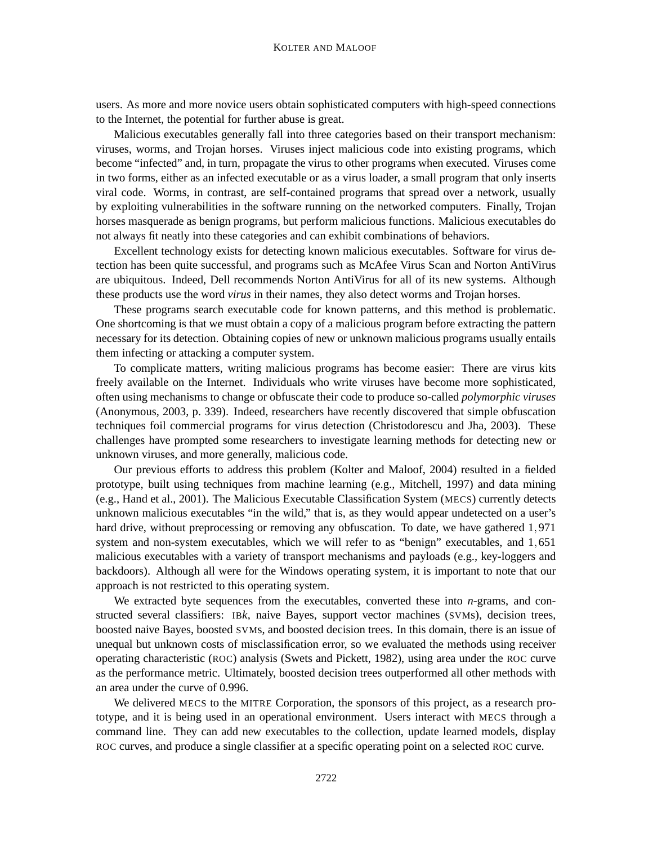users. As more and more novice users obtain sophisticated computers with high-speed connections to the Internet, the potential for further abuse is great.

Malicious executables generally fall into three categories based on their transport mechanism: viruses, worms, and Trojan horses. Viruses inject malicious code into existing programs, which become "infected" and, in turn, propagate the virus to other programs when executed. Viruses come in two forms, either as an infected executable or as a virus loader, a small program that only inserts viral code. Worms, in contrast, are self-contained programs that spread over a network, usually by exploiting vulnerabilities in the software running on the networked computers. Finally, Trojan horses masquerade as benign programs, but perform malicious functions. Malicious executables do not always fit neatly into these categories and can exhibit combinations of behaviors.

Excellent technology exists for detecting known malicious executables. Software for virus detection has been quite successful, and programs such as McAfee Virus Scan and Norton AntiVirus are ubiquitous. Indeed, Dell recommends Norton AntiVirus for all of its new systems. Although these products use the word *virus* in their names, they also detect worms and Trojan horses.

These programs search executable code for known patterns, and this method is problematic. One shortcoming is that we must obtain a copy of a malicious program before extracting the pattern necessary for its detection. Obtaining copies of new or unknown malicious programs usually entails them infecting or attacking a computer system.

To complicate matters, writing malicious programs has become easier: There are virus kits freely available on the Internet. Individuals who write viruses have become more sophisticated, often using mechanisms to change or obfuscate their code to produce so-called *polymorphic viruses* (Anonymous, 2003, p. 339). Indeed, researchers have recently discovered that simple obfuscation techniques foil commercial programs for virus detection (Christodorescu and Jha, 2003). These challenges have prompted some researchers to investigate learning methods for detecting new or unknown viruses, and more generally, malicious code.

Our previous efforts to address this problem (Kolter and Maloof, 2004) resulted in a fielded prototype, built using techniques from machine learning (e.g., Mitchell, 1997) and data mining (e.g., Hand et al., 2001). The Malicious Executable Classification System (MECS) currently detects unknown malicious executables "in the wild," that is, as they would appear undetected on a user's hard drive, without preprocessing or removing any obfuscation. To date, we have gathered 1,971 system and non-system executables, which we will refer to as "benign" executables, and 1,651 malicious executables with a variety of transport mechanisms and payloads (e.g., key-loggers and backdoors). Although all were for the Windows operating system, it is important to note that our approach is not restricted to this operating system.

We extracted byte sequences from the executables, converted these into *n*-grams, and constructed several classifiers: IB*k*, naive Bayes, support vector machines (SVMs), decision trees, boosted naive Bayes, boosted SVMs, and boosted decision trees. In this domain, there is an issue of unequal but unknown costs of misclassification error, so we evaluated the methods using receiver operating characteristic (ROC) analysis (Swets and Pickett, 1982), using area under the ROC curve as the performance metric. Ultimately, boosted decision trees outperformed all other methods with an area under the curve of 0.996.

We delivered MECS to the MITRE Corporation, the sponsors of this project, as a research prototype, and it is being used in an operational environment. Users interact with MECS through a command line. They can add new executables to the collection, update learned models, display ROC curves, and produce a single classifier at a specific operating point on a selected ROC curve.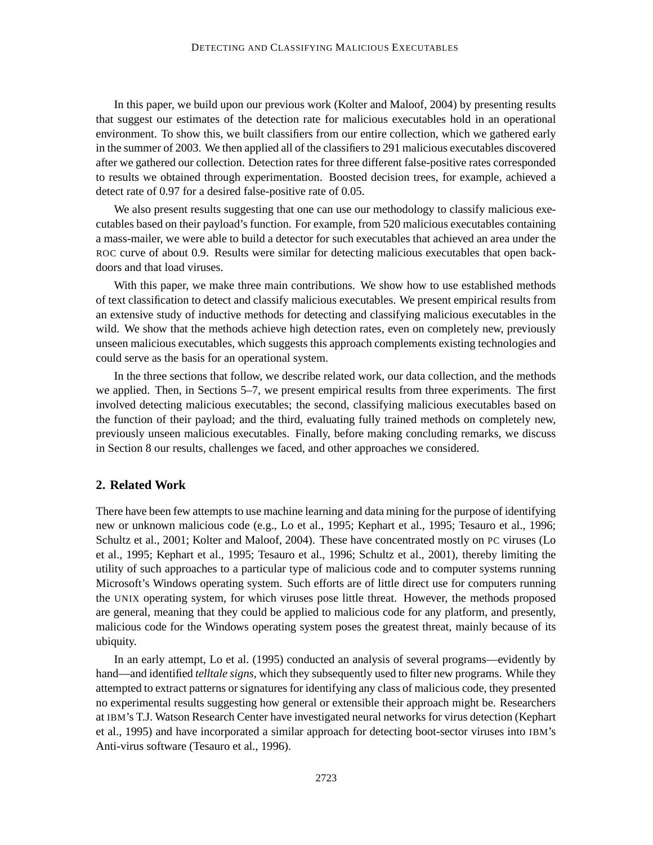In this paper, we build upon our previous work (Kolter and Maloof, 2004) by presenting results that suggest our estimates of the detection rate for malicious executables hold in an operational environment. To show this, we built classifiers from our entire collection, which we gathered early in the summer of 2003. We then applied all of the classifiers to 291 malicious executables discovered after we gathered our collection. Detection rates for three different false-positive rates corresponded to results we obtained through experimentation. Boosted decision trees, for example, achieved a detect rate of 0.97 for a desired false-positive rate of 0.05.

We also present results suggesting that one can use our methodology to classify malicious executables based on their payload's function. For example, from 520 malicious executables containing a mass-mailer, we were able to build a detector for such executables that achieved an area under the ROC curve of about 0.9. Results were similar for detecting malicious executables that open backdoors and that load viruses.

With this paper, we make three main contributions. We show how to use established methods of text classification to detect and classify malicious executables. We present empirical results from an extensive study of inductive methods for detecting and classifying malicious executables in the wild. We show that the methods achieve high detection rates, even on completely new, previously unseen malicious executables, which suggests this approach complements existing technologies and could serve as the basis for an operational system.

In the three sections that follow, we describe related work, our data collection, and the methods we applied. Then, in Sections 5–7, we present empirical results from three experiments. The first involved detecting malicious executables; the second, classifying malicious executables based on the function of their payload; and the third, evaluating fully trained methods on completely new, previously unseen malicious executables. Finally, before making concluding remarks, we discuss in Section 8 our results, challenges we faced, and other approaches we considered.

#### **2. Related Work**

There have been few attempts to use machine learning and data mining for the purpose of identifying new or unknown malicious code (e.g., Lo et al., 1995; Kephart et al., 1995; Tesauro et al., 1996; Schultz et al., 2001; Kolter and Maloof, 2004). These have concentrated mostly on PC viruses (Lo et al., 1995; Kephart et al., 1995; Tesauro et al., 1996; Schultz et al., 2001), thereby limiting the utility of such approaches to a particular type of malicious code and to computer systems running Microsoft's Windows operating system. Such efforts are of little direct use for computers running the UNIX operating system, for which viruses pose little threat. However, the methods proposed are general, meaning that they could be applied to malicious code for any platform, and presently, malicious code for the Windows operating system poses the greatest threat, mainly because of its ubiquity.

In an early attempt, Lo et al. (1995) conducted an analysis of several programs—evidently by hand—and identified *telltale signs*, which they subsequently used to filter new programs. While they attempted to extract patterns or signatures for identifying any class of malicious code, they presented no experimental results suggesting how general or extensible their approach might be. Researchers at IBM's T.J. Watson Research Center have investigated neural networks for virus detection (Kephart et al., 1995) and have incorporated a similar approach for detecting boot-sector viruses into IBM's Anti-virus software (Tesauro et al., 1996).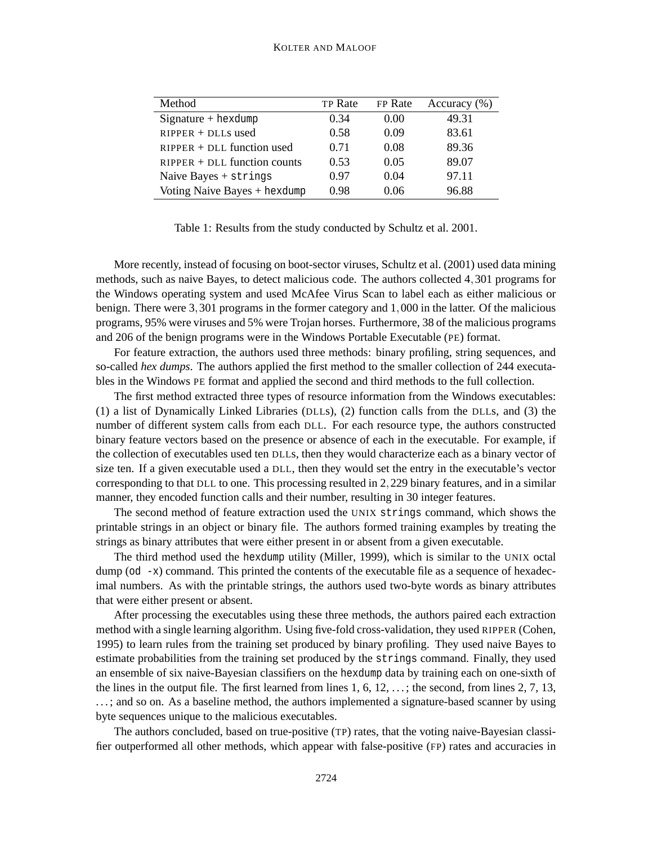#### KOLTER AND MALOOF

| Method                         | <b>TP</b> Rate | <b>FP</b> Rate | Accuracy $(\% )$ |
|--------------------------------|----------------|----------------|------------------|
| $Signature + hexdump$          | 0.34           | 0.00           | 49.31            |
| $RIPPER + DLLS$ used           | 0.58           | 0.09           | 83.61            |
| $RIPPER + DLL$ function used   | 0.71           | 0.08           | 89.36            |
| $RIPPER + DLL$ function counts | 0.53           | 0.05           | 89.07            |
| Naive Bayes $+$ strings        | 0.97           | 0.04           | 97.11            |
| Voting Naive Bayes + hexdump   | 0.98           | 0.06           | 96.88            |

Table 1: Results from the study conducted by Schultz et al. 2001.

More recently, instead of focusing on boot-sector viruses, Schultz et al. (2001) used data mining methods, such as naive Bayes, to detect malicious code. The authors collected 4,301 programs for the Windows operating system and used McAfee Virus Scan to label each as either malicious or benign. There were 3,301 programs in the former category and 1,000 in the latter. Of the malicious programs, 95% were viruses and 5% were Trojan horses. Furthermore, 38 of the malicious programs and 206 of the benign programs were in the Windows Portable Executable (PE) format.

For feature extraction, the authors used three methods: binary profiling, string sequences, and so-called *hex dumps*. The authors applied the first method to the smaller collection of 244 executables in the Windows PE format and applied the second and third methods to the full collection.

The first method extracted three types of resource information from the Windows executables: (1) a list of Dynamically Linked Libraries (DLLs), (2) function calls from the DLLs, and (3) the number of different system calls from each DLL. For each resource type, the authors constructed binary feature vectors based on the presence or absence of each in the executable. For example, if the collection of executables used ten DLLs, then they would characterize each as a binary vector of size ten. If a given executable used a DLL, then they would set the entry in the executable's vector corresponding to that DLL to one. This processing resulted in 2,229 binary features, and in a similar manner, they encoded function calls and their number, resulting in 30 integer features.

The second method of feature extraction used the UNIX strings command, which shows the printable strings in an object or binary file. The authors formed training examples by treating the strings as binary attributes that were either present in or absent from a given executable.

The third method used the hexdump utility (Miller, 1999), which is similar to the UNIX octal dump ( $od -x$ ) command. This printed the contents of the executable file as a sequence of hexadecimal numbers. As with the printable strings, the authors used two-byte words as binary attributes that were either present or absent.

After processing the executables using these three methods, the authors paired each extraction method with a single learning algorithm. Using five-fold cross-validation, they used RIPPER (Cohen, 1995) to learn rules from the training set produced by binary profiling. They used naive Bayes to estimate probabilities from the training set produced by the strings command. Finally, they used an ensemble of six naive-Bayesian classifiers on the hexdump data by training each on one-sixth of the lines in the output file. The first learned from lines  $1, 6, 12, \ldots$ ; the second, from lines  $2, 7, 13$ , . . . ; and so on. As a baseline method, the authors implemented a signature-based scanner by using byte sequences unique to the malicious executables.

The authors concluded, based on true-positive (TP) rates, that the voting naive-Bayesian classifier outperformed all other methods, which appear with false-positive (FP) rates and accuracies in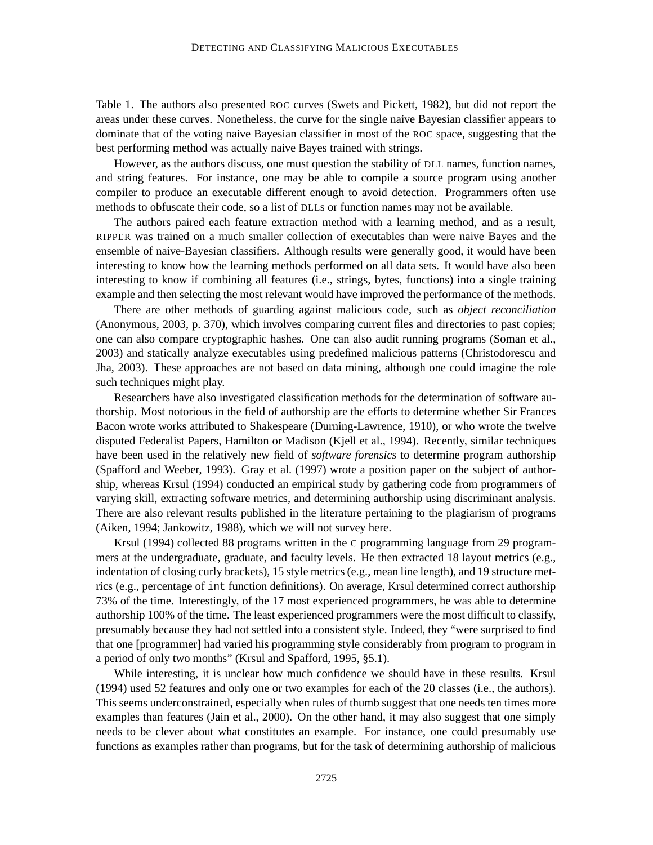Table 1. The authors also presented ROC curves (Swets and Pickett, 1982), but did not report the areas under these curves. Nonetheless, the curve for the single naive Bayesian classifier appears to dominate that of the voting naive Bayesian classifier in most of the ROC space, suggesting that the best performing method was actually naive Bayes trained with strings.

However, as the authors discuss, one must question the stability of DLL names, function names, and string features. For instance, one may be able to compile a source program using another compiler to produce an executable different enough to avoid detection. Programmers often use methods to obfuscate their code, so a list of DLLs or function names may not be available.

The authors paired each feature extraction method with a learning method, and as a result, RIPPER was trained on a much smaller collection of executables than were naive Bayes and the ensemble of naive-Bayesian classifiers. Although results were generally good, it would have been interesting to know how the learning methods performed on all data sets. It would have also been interesting to know if combining all features (i.e., strings, bytes, functions) into a single training example and then selecting the most relevant would have improved the performance of the methods.

There are other methods of guarding against malicious code, such as *object reconciliation* (Anonymous, 2003, p. 370), which involves comparing current files and directories to past copies; one can also compare cryptographic hashes. One can also audit running programs (Soman et al., 2003) and statically analyze executables using predefined malicious patterns (Christodorescu and Jha, 2003). These approaches are not based on data mining, although one could imagine the role such techniques might play.

Researchers have also investigated classification methods for the determination of software authorship. Most notorious in the field of authorship are the efforts to determine whether Sir Frances Bacon wrote works attributed to Shakespeare (Durning-Lawrence, 1910), or who wrote the twelve disputed Federalist Papers, Hamilton or Madison (Kjell et al., 1994). Recently, similar techniques have been used in the relatively new field of *software forensics* to determine program authorship (Spafford and Weeber, 1993). Gray et al. (1997) wrote a position paper on the subject of authorship, whereas Krsul (1994) conducted an empirical study by gathering code from programmers of varying skill, extracting software metrics, and determining authorship using discriminant analysis. There are also relevant results published in the literature pertaining to the plagiarism of programs (Aiken, 1994; Jankowitz, 1988), which we will not survey here.

Krsul (1994) collected 88 programs written in the C programming language from 29 programmers at the undergraduate, graduate, and faculty levels. He then extracted 18 layout metrics (e.g., indentation of closing curly brackets), 15 style metrics (e.g., mean line length), and 19 structure metrics (e.g., percentage of int function definitions). On average, Krsul determined correct authorship 73% of the time. Interestingly, of the 17 most experienced programmers, he was able to determine authorship 100% of the time. The least experienced programmers were the most difficult to classify, presumably because they had not settled into a consistent style. Indeed, they "were surprised to find that one [programmer] had varied his programming style considerably from program to program in a period of only two months" (Krsul and Spafford, 1995, §5.1).

While interesting, it is unclear how much confidence we should have in these results. Krsul (1994) used 52 features and only one or two examples for each of the 20 classes (i.e., the authors). This seems underconstrained, especially when rules of thumb suggest that one needs ten times more examples than features (Jain et al., 2000). On the other hand, it may also suggest that one simply needs to be clever about what constitutes an example. For instance, one could presumably use functions as examples rather than programs, but for the task of determining authorship of malicious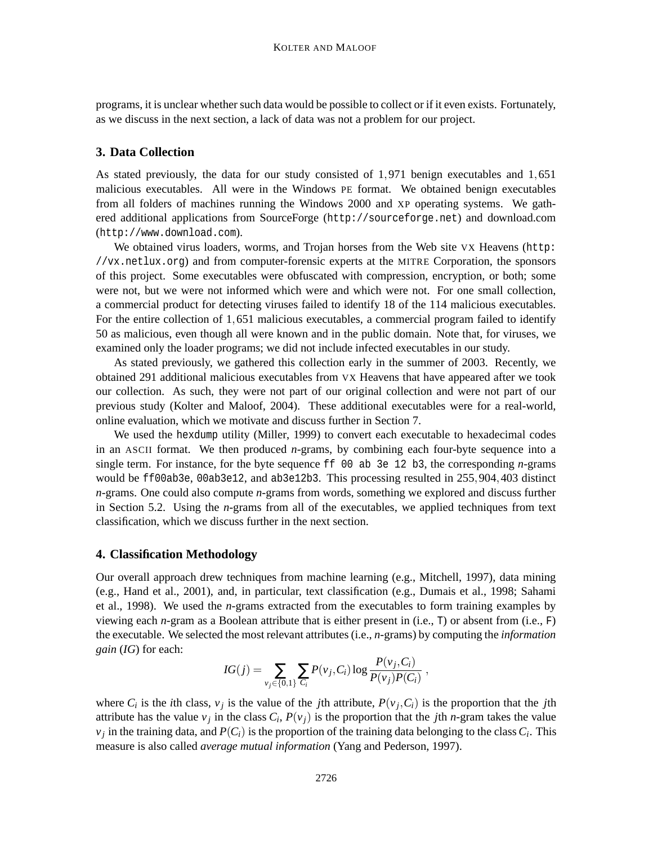programs, it is unclear whether such data would be possible to collect or if it even exists. Fortunately, as we discuss in the next section, a lack of data was not a problem for our project.

## **3. Data Collection**

As stated previously, the data for our study consisted of 1,971 benign executables and 1,651 malicious executables. All were in the Windows PE format. We obtained benign executables from all folders of machines running the Windows 2000 and XP operating systems. We gathered additional applications from SourceForge (http://sourceforge.net) and download.com (http://www.download.com).

We obtained virus loaders, worms, and Trojan horses from the Web site VX Heavens (http: //vx.netlux.org) and from computer-forensic experts at the MITRE Corporation, the sponsors of this project. Some executables were obfuscated with compression, encryption, or both; some were not, but we were not informed which were and which were not. For one small collection, a commercial product for detecting viruses failed to identify 18 of the 114 malicious executables. For the entire collection of 1,651 malicious executables, a commercial program failed to identify 50 as malicious, even though all were known and in the public domain. Note that, for viruses, we examined only the loader programs; we did not include infected executables in our study.

As stated previously, we gathered this collection early in the summer of 2003. Recently, we obtained 291 additional malicious executables from VX Heavens that have appeared after we took our collection. As such, they were not part of our original collection and were not part of our previous study (Kolter and Maloof, 2004). These additional executables were for a real-world, online evaluation, which we motivate and discuss further in Section 7.

We used the hexdump utility (Miller, 1999) to convert each executable to hexadecimal codes in an ASCII format. We then produced *n*-grams, by combining each four-byte sequence into a single term. For instance, for the byte sequence ff 00 ab 3e 12 b3, the corresponding *n*-grams would be ff00ab3e, 00ab3e12, and ab3e12b3. This processing resulted in 255,904,403 distinct *n*-grams. One could also compute *n*-grams from words, something we explored and discuss further in Section 5.2. Using the *n*-grams from all of the executables, we applied techniques from text classification, which we discuss further in the next section.

#### **4. Classification Methodology**

Our overall approach drew techniques from machine learning (e.g., Mitchell, 1997), data mining (e.g., Hand et al., 2001), and, in particular, text classification (e.g., Dumais et al., 1998; Sahami et al., 1998). We used the *n*-grams extracted from the executables to form training examples by viewing each *n*-gram as a Boolean attribute that is either present in (i.e., T) or absent from (i.e., F) the executable. We selected the most relevant attributes (i.e., *n*-grams) by computing the *information gain* (*IG*) for each:

$$
IG(j) = \sum_{v_j \in \{0,1\}} \sum_{C_i} P(v_j, C_i) \log \frac{P(v_j, C_i)}{P(v_j)P(C_i)},
$$

where  $C_i$  is the *i*th class,  $v_j$  is the value of the *j*th attribute,  $P(v_j, C_i)$  is the proportion that the *j*th attribute has the value  $v_j$  in the class  $C_i$ ,  $P(v_j)$  is the proportion that the *j*th *n*-gram takes the value  $v_j$  in the training data, and  $P(C_i)$  is the proportion of the training data belonging to the class  $C_i$ . This measure is also called *average mutual information* (Yang and Pederson, 1997).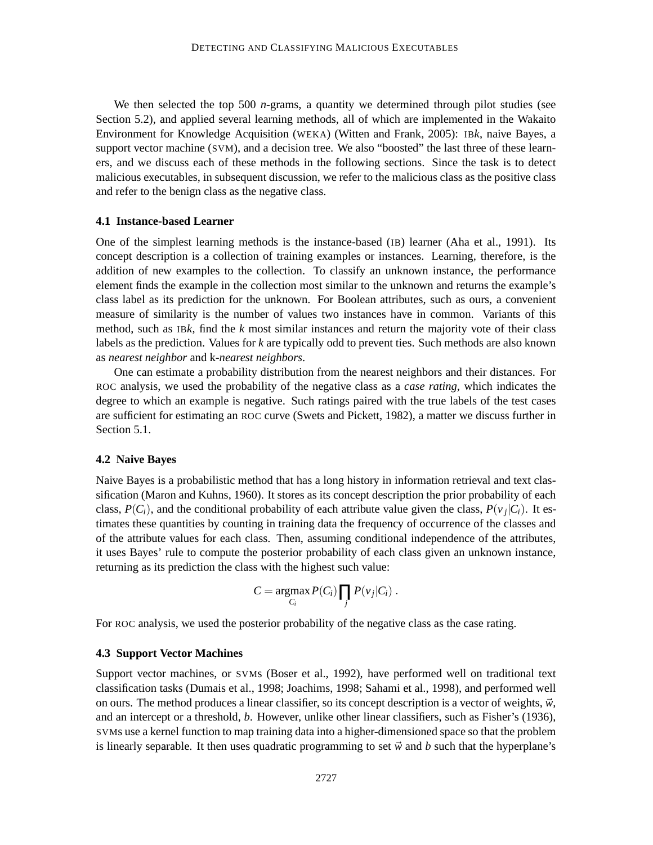We then selected the top  $500$  *n*-grams, a quantity we determined through pilot studies (see Section 5.2), and applied several learning methods, all of which are implemented in the Wakaito Environment for Knowledge Acquisition (WEKA) (Witten and Frank, 2005): IB*k*, naive Bayes, a support vector machine (SVM), and a decision tree. We also "boosted" the last three of these learners, and we discuss each of these methods in the following sections. Since the task is to detect malicious executables, in subsequent discussion, we refer to the malicious class as the positive class and refer to the benign class as the negative class.

#### **4.1 Instance-based Learner**

One of the simplest learning methods is the instance-based (IB) learner (Aha et al., 1991). Its concept description is a collection of training examples or instances. Learning, therefore, is the addition of new examples to the collection. To classify an unknown instance, the performance element finds the example in the collection most similar to the unknown and returns the example's class label as its prediction for the unknown. For Boolean attributes, such as ours, a convenient measure of similarity is the number of values two instances have in common. Variants of this method, such as IB*k*, find the *k* most similar instances and return the majority vote of their class labels as the prediction. Values for *k* are typically odd to prevent ties. Such methods are also known as *nearest neighbor* and k-*nearest neighbors*.

One can estimate a probability distribution from the nearest neighbors and their distances. For ROC analysis, we used the probability of the negative class as a *case rating*, which indicates the degree to which an example is negative. Such ratings paired with the true labels of the test cases are sufficient for estimating an ROC curve (Swets and Pickett, 1982), a matter we discuss further in Section 5.1.

## **4.2 Naive Bayes**

Naive Bayes is a probabilistic method that has a long history in information retrieval and text classification (Maron and Kuhns, 1960). It stores as its concept description the prior probability of each class,  $P(C_i)$ , and the conditional probability of each attribute value given the class,  $P(v_j|C_i)$ . It estimates these quantities by counting in training data the frequency of occurrence of the classes and of the attribute values for each class. Then, assuming conditional independence of the attributes, it uses Bayes' rule to compute the posterior probability of each class given an unknown instance, returning as its prediction the class with the highest such value:

$$
C = \underset{C_i}{\text{argmax}} P(C_i) \prod_j P(v_j|C_i) .
$$

For ROC analysis, we used the posterior probability of the negative class as the case rating.

#### **4.3 Support Vector Machines**

Support vector machines, or SVMs (Boser et al., 1992), have performed well on traditional text classification tasks (Dumais et al., 1998; Joachims, 1998; Sahami et al., 1998), and performed well on ours. The method produces a linear classifier, so its concept description is a vector of weights,  $\vec{w}$ , and an intercept or a threshold, *b*. However, unlike other linear classifiers, such as Fisher's (1936), SVMs use a kernel function to map training data into a higher-dimensioned space so that the problem is linearly separable. It then uses quadratic programming to set  $\vec{w}$  and *b* such that the hyperplane's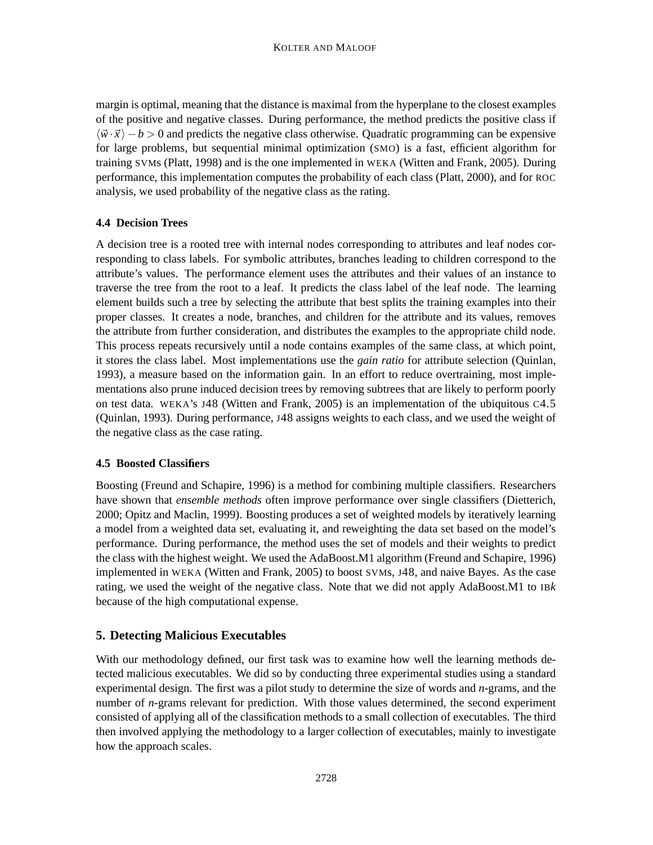margin is optimal, meaning that the distance is maximal from the hyperplane to the closest examples of the positive and negative classes. During performance, the method predicts the positive class if  $\langle \vec{w} \cdot \vec{x} \rangle - b > 0$  and predicts the negative class otherwise. Quadratic programming can be expensive for large problems, but sequential minimal optimization (SMO) is a fast, efficient algorithm for training SVMs (Platt, 1998) and is the one implemented in WEKA (Witten and Frank, 2005). During performance, this implementation computes the probability of each class (Platt, 2000), and for ROC analysis, we used probability of the negative class as the rating.

## **4.4 Decision Trees**

A decision tree is a rooted tree with internal nodes corresponding to attributes and leaf nodes corresponding to class labels. For symbolic attributes, branches leading to children correspond to the attribute's values. The performance element uses the attributes and their values of an instance to traverse the tree from the root to a leaf. It predicts the class label of the leaf node. The learning element builds such a tree by selecting the attribute that best splits the training examples into their proper classes. It creates a node, branches, and children for the attribute and its values, removes the attribute from further consideration, and distributes the examples to the appropriate child node. This process repeats recursively until a node contains examples of the same class, at which point, it stores the class label. Most implementations use the *gain ratio* for attribute selection (Quinlan, 1993), a measure based on the information gain. In an effort to reduce overtraining, most implementations also prune induced decision trees by removing subtrees that are likely to perform poorly on test data. WEKA's J48 (Witten and Frank, 2005) is an implementation of the ubiquitous C4.5 (Quinlan, 1993). During performance, J48 assigns weights to each class, and we used the weight of the negative class as the case rating.

## **4.5 Boosted Classifiers**

Boosting (Freund and Schapire, 1996) is a method for combining multiple classifiers. Researchers have shown that *ensemble methods* often improve performance over single classifiers (Dietterich, 2000; Opitz and Maclin, 1999). Boosting produces a set of weighted models by iteratively learning a model from a weighted data set, evaluating it, and reweighting the data set based on the model's performance. During performance, the method uses the set of models and their weights to predict the class with the highest weight. We used the AdaBoost.M1 algorithm (Freund and Schapire, 1996) implemented in WEKA (Witten and Frank, 2005) to boost SVMs, J48, and naive Bayes. As the case rating, we used the weight of the negative class. Note that we did not apply AdaBoost.M1 to IB*k* because of the high computational expense.

## **5. Detecting Malicious Executables**

With our methodology defined, our first task was to examine how well the learning methods detected malicious executables. We did so by conducting three experimental studies using a standard experimental design. The first was a pilot study to determine the size of words and *n*-grams, and the number of *n*-grams relevant for prediction. With those values determined, the second experiment consisted of applying all of the classification methods to a small collection of executables. The third then involved applying the methodology to a larger collection of executables, mainly to investigate how the approach scales.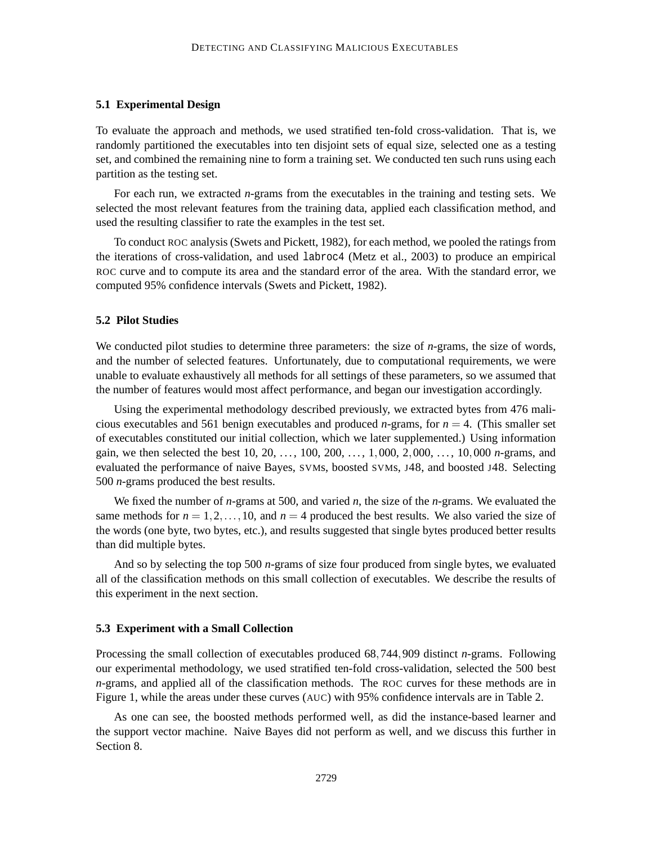#### **5.1 Experimental Design**

To evaluate the approach and methods, we used stratified ten-fold cross-validation. That is, we randomly partitioned the executables into ten disjoint sets of equal size, selected one as a testing set, and combined the remaining nine to form a training set. We conducted ten such runs using each partition as the testing set.

For each run, we extracted *n*-grams from the executables in the training and testing sets. We selected the most relevant features from the training data, applied each classification method, and used the resulting classifier to rate the examples in the test set.

To conduct ROC analysis (Swets and Pickett, 1982), for each method, we pooled the ratings from the iterations of cross-validation, and used labroc4 (Metz et al., 2003) to produce an empirical ROC curve and to compute its area and the standard error of the area. With the standard error, we computed 95% confidence intervals (Swets and Pickett, 1982).

#### **5.2 Pilot Studies**

We conducted pilot studies to determine three parameters: the size of *n*-grams, the size of words, and the number of selected features. Unfortunately, due to computational requirements, we were unable to evaluate exhaustively all methods for all settings of these parameters, so we assumed that the number of features would most affect performance, and began our investigation accordingly.

Using the experimental methodology described previously, we extracted bytes from 476 malicious executables and 561 benign executables and produced *n*-grams, for  $n = 4$ . (This smaller set of executables constituted our initial collection, which we later supplemented.) Using information gain, we then selected the best 10, 20, . . . , 100, 200, . . . , 1,000, 2,000, . . . , 10,000 *n*-grams, and evaluated the performance of naive Bayes, SVMs, boosted SVMs, J48, and boosted J48. Selecting 500 *n*-grams produced the best results.

We fixed the number of *n*-grams at 500, and varied *n*, the size of the *n*-grams. We evaluated the same methods for  $n = 1, 2, \ldots, 10$ , and  $n = 4$  produced the best results. We also varied the size of the words (one byte, two bytes, etc.), and results suggested that single bytes produced better results than did multiple bytes.

And so by selecting the top 500 *n*-grams of size four produced from single bytes, we evaluated all of the classification methods on this small collection of executables. We describe the results of this experiment in the next section.

#### **5.3 Experiment with a Small Collection**

Processing the small collection of executables produced 68,744,909 distinct *n*-grams. Following our experimental methodology, we used stratified ten-fold cross-validation, selected the 500 best *n*-grams, and applied all of the classification methods. The ROC curves for these methods are in Figure 1, while the areas under these curves (AUC) with 95% confidence intervals are in Table 2.

As one can see, the boosted methods performed well, as did the instance-based learner and the support vector machine. Naive Bayes did not perform as well, and we discuss this further in Section 8.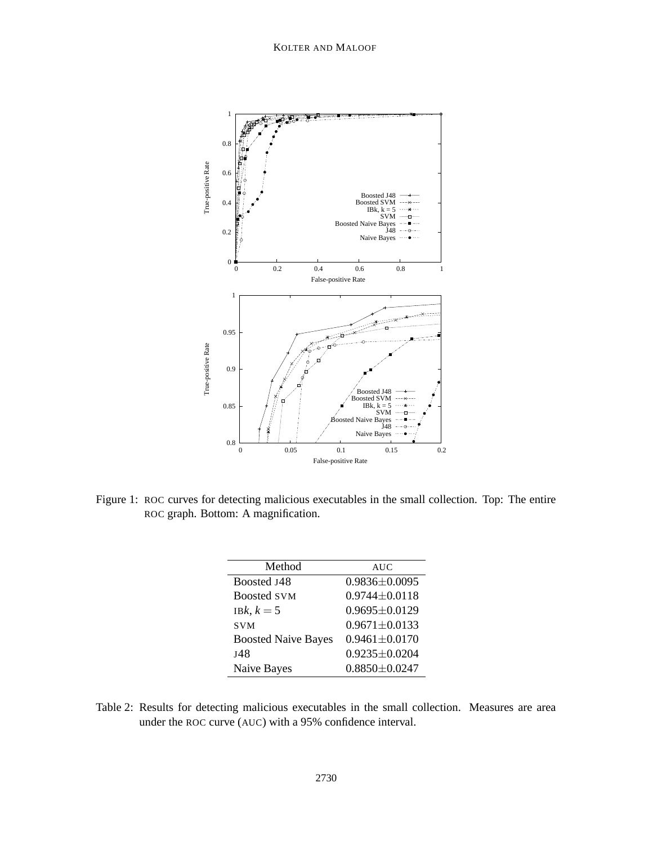

Figure 1: ROC curves for detecting malicious executables in the small collection. Top: The entire ROC graph. Bottom: A magnification.

| Method                     | <b>AUC</b>          |
|----------------------------|---------------------|
| Boosted J48                | $0.9836 \pm 0.0095$ |
| <b>Boosted SVM</b>         | $0.9744 \pm 0.0118$ |
| IBk, $k=5$                 | $0.9695 \pm 0.0129$ |
| <b>SVM</b>                 | $0.9671 \pm 0.0133$ |
| <b>Boosted Naive Bayes</b> | $0.9461 \pm 0.0170$ |
| 148                        | $0.9235 \pm 0.0204$ |
| Naive Bayes                | $0.8850 \pm 0.0247$ |

Table 2: Results for detecting malicious executables in the small collection. Measures are area under the ROC curve (AUC) with a 95% confidence interval.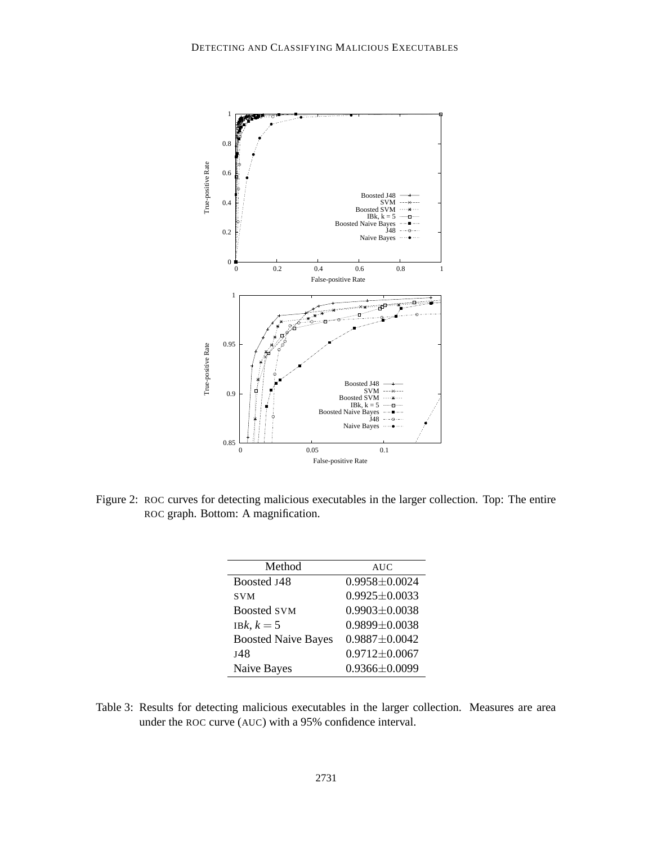

Figure 2: ROC curves for detecting malicious executables in the larger collection. Top: The entire ROC graph. Bottom: A magnification.

| Method                     | <b>AUC</b>          |
|----------------------------|---------------------|
| Boosted J48                | $0.9958 \pm 0.0024$ |
| <b>SVM</b>                 | $0.9925 \pm 0.0033$ |
| <b>Boosted SVM</b>         | $0.9903 \pm 0.0038$ |
| IBk, $k=5$                 | $0.9899 \pm 0.0038$ |
| <b>Boosted Naive Bayes</b> | $0.9887 \pm 0.0042$ |
| 148                        | $0.9712 \pm 0.0067$ |
| Naive Bayes                | $0.9366 \pm 0.0099$ |

Table 3: Results for detecting malicious executables in the larger collection. Measures are area under the ROC curve (AUC) with a 95% confidence interval.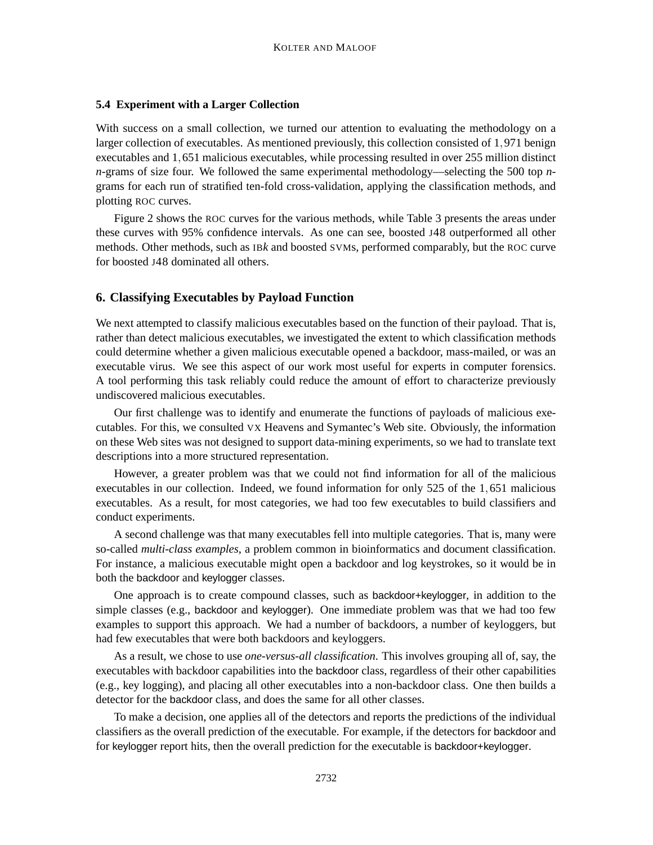#### **5.4 Experiment with a Larger Collection**

With success on a small collection, we turned our attention to evaluating the methodology on a larger collection of executables. As mentioned previously, this collection consisted of 1,971 benign executables and 1,651 malicious executables, while processing resulted in over 255 million distinct *n*-grams of size four. We followed the same experimental methodology—selecting the 500 top *n*grams for each run of stratified ten-fold cross-validation, applying the classification methods, and plotting ROC curves.

Figure 2 shows the ROC curves for the various methods, while Table 3 presents the areas under these curves with 95% confidence intervals. As one can see, boosted J48 outperformed all other methods. Other methods, such as IB*k* and boosted SVMs, performed comparably, but the ROC curve for boosted J48 dominated all others.

#### **6. Classifying Executables by Payload Function**

We next attempted to classify malicious executables based on the function of their payload. That is, rather than detect malicious executables, we investigated the extent to which classification methods could determine whether a given malicious executable opened a backdoor, mass-mailed, or was an executable virus. We see this aspect of our work most useful for experts in computer forensics. A tool performing this task reliably could reduce the amount of effort to characterize previously undiscovered malicious executables.

Our first challenge was to identify and enumerate the functions of payloads of malicious executables. For this, we consulted VX Heavens and Symantec's Web site. Obviously, the information on these Web sites was not designed to support data-mining experiments, so we had to translate text descriptions into a more structured representation.

However, a greater problem was that we could not find information for all of the malicious executables in our collection. Indeed, we found information for only 525 of the 1,651 malicious executables. As a result, for most categories, we had too few executables to build classifiers and conduct experiments.

A second challenge was that many executables fell into multiple categories. That is, many were so-called *multi-class examples*, a problem common in bioinformatics and document classification. For instance, a malicious executable might open a backdoor and log keystrokes, so it would be in both the backdoor and keylogger classes.

One approach is to create compound classes, such as backdoor+keylogger, in addition to the simple classes (e.g., backdoor and keylogger). One immediate problem was that we had too few examples to support this approach. We had a number of backdoors, a number of keyloggers, but had few executables that were both backdoors and keyloggers.

As a result, we chose to use *one-versus-all classification*. This involves grouping all of, say, the executables with backdoor capabilities into the backdoor class, regardless of their other capabilities (e.g., key logging), and placing all other executables into a non-backdoor class. One then builds a detector for the backdoor class, and does the same for all other classes.

To make a decision, one applies all of the detectors and reports the predictions of the individual classifiers as the overall prediction of the executable. For example, if the detectors for backdoor and for keylogger report hits, then the overall prediction for the executable is backdoor+keylogger.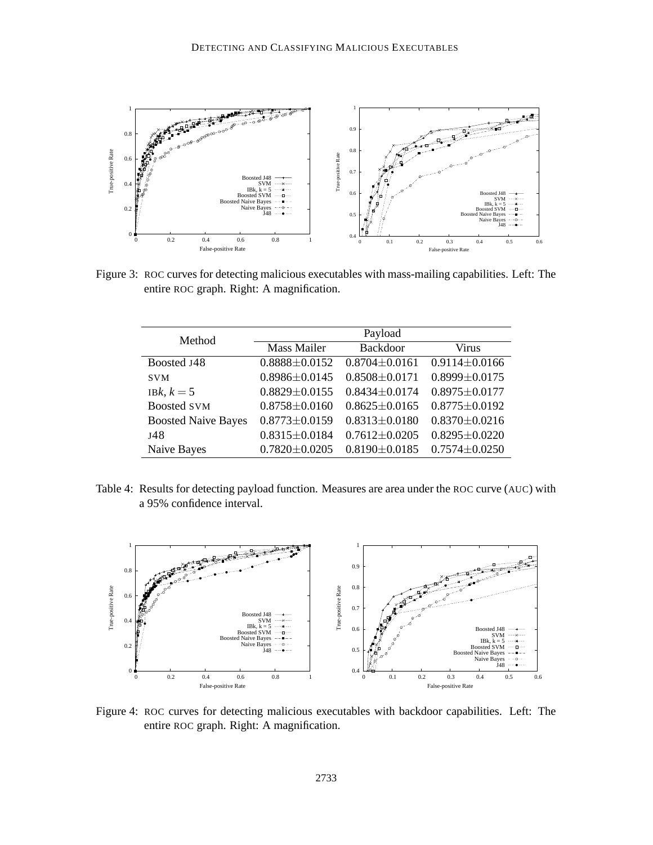

Figure 3: ROC curves for detecting malicious executables with mass-mailing capabilities. Left: The entire ROC graph. Right: A magnification.

| Method                     | Payload                               |                     |                     |  |  |
|----------------------------|---------------------------------------|---------------------|---------------------|--|--|
|                            | <b>Backdoor</b><br><b>Mass Mailer</b> |                     | Virus               |  |  |
| Boosted J48                | $0.8888 \pm 0.0152$                   | $0.8704 \pm 0.0161$ | $0.9114 \pm 0.0166$ |  |  |
| <b>SVM</b>                 | $0.8986 \pm 0.0145$                   | $0.8508 \pm 0.0171$ | $0.8999 \pm 0.0175$ |  |  |
| IBk, $k = 5$               | $0.8829 \pm 0.0155$                   | $0.8434 \pm 0.0174$ | $0.8975 \pm 0.0177$ |  |  |
| <b>Boosted SVM</b>         | $0.8758 \pm 0.0160$                   | $0.8625 \pm 0.0165$ | $0.8775 \pm 0.0192$ |  |  |
| <b>Boosted Naive Bayes</b> | $0.8773 \pm 0.0159$                   | $0.8313 \pm 0.0180$ | $0.8370 \pm 0.0216$ |  |  |
| J48                        | $0.8315 \pm 0.0184$                   | $0.7612 \pm 0.0205$ | $0.8295 \pm 0.0220$ |  |  |
| Naive Bayes                | $0.7820 \pm 0.0205$                   | $0.8190 \pm 0.0185$ | $0.7574 \pm 0.0250$ |  |  |

Table 4: Results for detecting payload function. Measures are area under the ROC curve (AUC) with a 95% confidence interval.



Figure 4: ROC curves for detecting malicious executables with backdoor capabilities. Left: The entire ROC graph. Right: A magnification.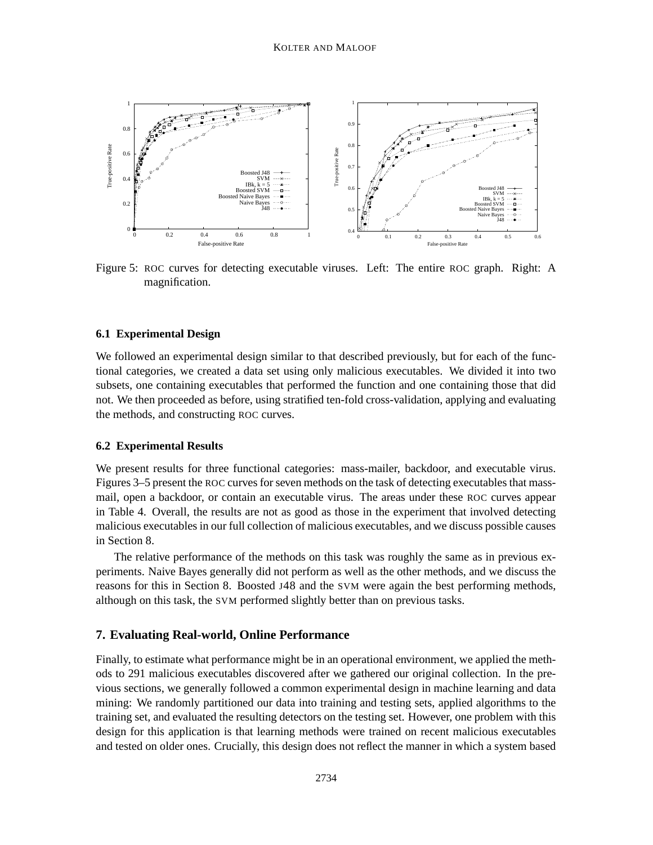

Figure 5: ROC curves for detecting executable viruses. Left: The entire ROC graph. Right: A magnification.

## **6.1 Experimental Design**

We followed an experimental design similar to that described previously, but for each of the functional categories, we created a data set using only malicious executables. We divided it into two subsets, one containing executables that performed the function and one containing those that did not. We then proceeded as before, using stratified ten-fold cross-validation, applying and evaluating the methods, and constructing ROC curves.

#### **6.2 Experimental Results**

We present results for three functional categories: mass-mailer, backdoor, and executable virus. Figures 3–5 present the ROC curves for seven methods on the task of detecting executables that massmail, open a backdoor, or contain an executable virus. The areas under these ROC curves appear in Table 4. Overall, the results are not as good as those in the experiment that involved detecting malicious executables in our full collection of malicious executables, and we discuss possible causes in Section 8.

The relative performance of the methods on this task was roughly the same as in previous experiments. Naive Bayes generally did not perform as well as the other methods, and we discuss the reasons for this in Section 8. Boosted J48 and the SVM were again the best performing methods, although on this task, the SVM performed slightly better than on previous tasks.

#### **7. Evaluating Real-world, Online Performance**

Finally, to estimate what performance might be in an operational environment, we applied the methods to 291 malicious executables discovered after we gathered our original collection. In the previous sections, we generally followed a common experimental design in machine learning and data mining: We randomly partitioned our data into training and testing sets, applied algorithms to the training set, and evaluated the resulting detectors on the testing set. However, one problem with this design for this application is that learning methods were trained on recent malicious executables and tested on older ones. Crucially, this design does not reflect the manner in which a system based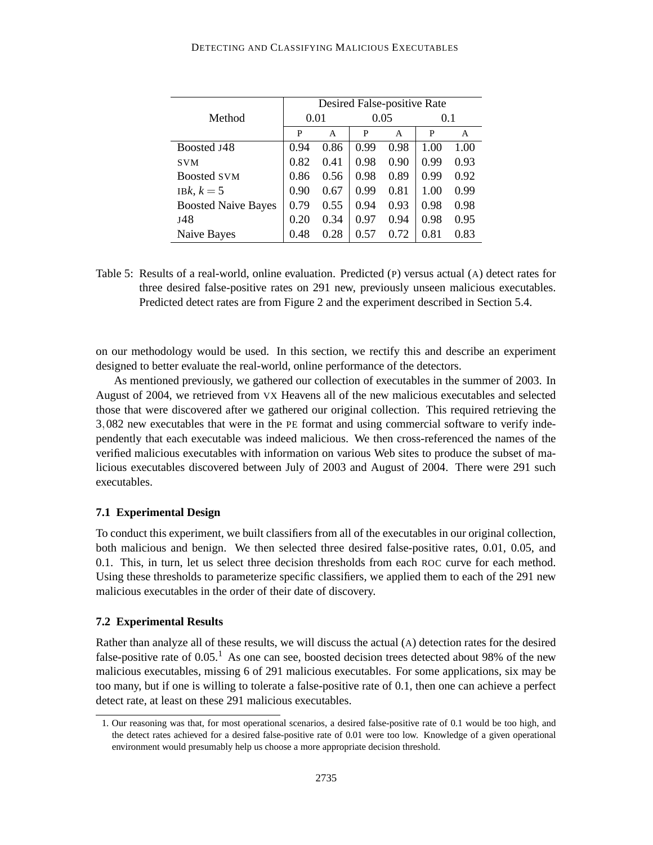|                            | Desired False-positive Rate |      |      |      |      |      |
|----------------------------|-----------------------------|------|------|------|------|------|
| Method                     | 0.01                        |      | 0.05 |      | 0.1  |      |
|                            | P                           | A    | P    | A    | P    | A    |
| Boosted J48                | 0.94                        | 0.86 | 0.99 | 0.98 | 1.00 | 1.00 |
| <b>SVM</b>                 | 0.82                        | 0.41 | 0.98 | 0.90 | 0.99 | 0.93 |
| Boosted SVM                | 0.86                        | 0.56 | 0.98 | 0.89 | 0.99 | 0.92 |
| IBk, $k = 5$               | 0.90                        | 0.67 | 0.99 | 0.81 | 1.00 | 0.99 |
| <b>Boosted Naive Bayes</b> | 0.79                        | 0.55 | 0.94 | 0.93 | 0.98 | 0.98 |
| J48                        | 0.20                        | 0.34 | 0.97 | 0.94 | 0.98 | 0.95 |
| Naive Bayes                | 0.48                        | 0.28 | 0.57 | 0.72 | 0.81 | 0.83 |

Table 5: Results of a real-world, online evaluation. Predicted (P) versus actual (A) detect rates for three desired false-positive rates on 291 new, previously unseen malicious executables. Predicted detect rates are from Figure 2 and the experiment described in Section 5.4.

on our methodology would be used. In this section, we rectify this and describe an experiment designed to better evaluate the real-world, online performance of the detectors.

As mentioned previously, we gathered our collection of executables in the summer of 2003. In August of 2004, we retrieved from VX Heavens all of the new malicious executables and selected those that were discovered after we gathered our original collection. This required retrieving the 3,082 new executables that were in the PE format and using commercial software to verify independently that each executable was indeed malicious. We then cross-referenced the names of the verified malicious executables with information on various Web sites to produce the subset of malicious executables discovered between July of 2003 and August of 2004. There were 291 such executables.

#### **7.1 Experimental Design**

To conduct this experiment, we built classifiers from all of the executables in our original collection, both malicious and benign. We then selected three desired false-positive rates, 0.01, 0.05, and 0.1. This, in turn, let us select three decision thresholds from each ROC curve for each method. Using these thresholds to parameterize specific classifiers, we applied them to each of the 291 new malicious executables in the order of their date of discovery.

## **7.2 Experimental Results**

Rather than analyze all of these results, we will discuss the actual (A) detection rates for the desired false-positive rate of  $0.05<sup>1</sup>$ . As one can see, boosted decision trees detected about 98% of the new malicious executables, missing 6 of 291 malicious executables. For some applications, six may be too many, but if one is willing to tolerate a false-positive rate of 0.1, then one can achieve a perfect detect rate, at least on these 291 malicious executables.

<sup>1.</sup> Our reasoning was that, for most operational scenarios, a desired false-positive rate of 0.1 would be too high, and the detect rates achieved for a desired false-positive rate of 0.01 were too low. Knowledge of a given operational environment would presumably help us choose a more appropriate decision threshold.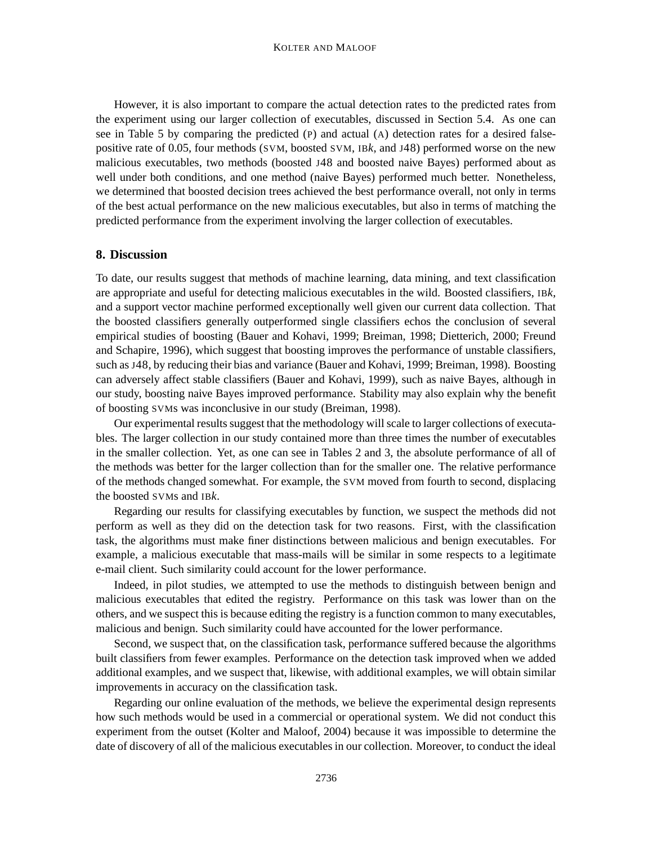#### KOLTER AND MALOOF

However, it is also important to compare the actual detection rates to the predicted rates from the experiment using our larger collection of executables, discussed in Section 5.4. As one can see in Table 5 by comparing the predicted (P) and actual (A) detection rates for a desired falsepositive rate of 0.05, four methods (SVM, boosted SVM, IB*k*, and J48) performed worse on the new malicious executables, two methods (boosted J48 and boosted naive Bayes) performed about as well under both conditions, and one method (naive Bayes) performed much better. Nonetheless, we determined that boosted decision trees achieved the best performance overall, not only in terms of the best actual performance on the new malicious executables, but also in terms of matching the predicted performance from the experiment involving the larger collection of executables.

## **8. Discussion**

To date, our results suggest that methods of machine learning, data mining, and text classification are appropriate and useful for detecting malicious executables in the wild. Boosted classifiers, IB*k*, and a support vector machine performed exceptionally well given our current data collection. That the boosted classifiers generally outperformed single classifiers echos the conclusion of several empirical studies of boosting (Bauer and Kohavi, 1999; Breiman, 1998; Dietterich, 2000; Freund and Schapire, 1996), which suggest that boosting improves the performance of unstable classifiers, such as J48, by reducing their bias and variance (Bauer and Kohavi, 1999; Breiman, 1998). Boosting can adversely affect stable classifiers (Bauer and Kohavi, 1999), such as naive Bayes, although in our study, boosting naive Bayes improved performance. Stability may also explain why the benefit of boosting SVMs was inconclusive in our study (Breiman, 1998).

Our experimental resultssuggest that the methodology willscale to larger collections of executables. The larger collection in our study contained more than three times the number of executables in the smaller collection. Yet, as one can see in Tables 2 and 3, the absolute performance of all of the methods was better for the larger collection than for the smaller one. The relative performance of the methods changed somewhat. For example, the SVM moved from fourth to second, displacing the boosted SVMs and IB*k*.

Regarding our results for classifying executables by function, we suspect the methods did not perform as well as they did on the detection task for two reasons. First, with the classification task, the algorithms must make finer distinctions between malicious and benign executables. For example, a malicious executable that mass-mails will be similar in some respects to a legitimate e-mail client. Such similarity could account for the lower performance.

Indeed, in pilot studies, we attempted to use the methods to distinguish between benign and malicious executables that edited the registry. Performance on this task was lower than on the others, and we suspect this is because editing the registry is a function common to many executables, malicious and benign. Such similarity could have accounted for the lower performance.

Second, we suspect that, on the classification task, performance suffered because the algorithms built classifiers from fewer examples. Performance on the detection task improved when we added additional examples, and we suspect that, likewise, with additional examples, we will obtain similar improvements in accuracy on the classification task.

Regarding our online evaluation of the methods, we believe the experimental design represents how such methods would be used in a commercial or operational system. We did not conduct this experiment from the outset (Kolter and Maloof, 2004) because it was impossible to determine the date of discovery of all of the malicious executables in our collection. Moreover, to conduct the ideal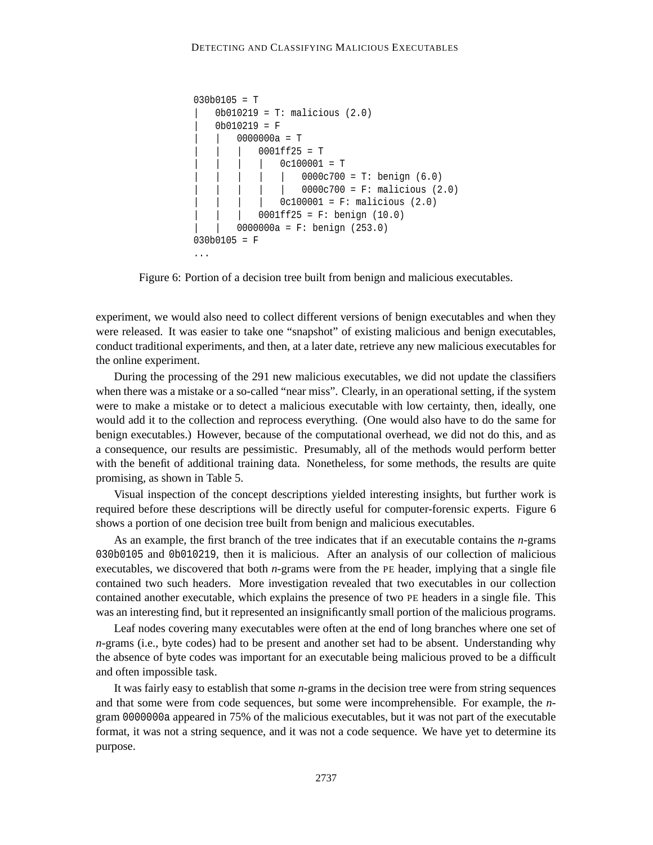```
030b0105 = T0b010219 = T: malicious (2.0)0b010219 = F0000000a = T0001ff25 = T| 0c100001 = T
                | 0000c700 = T: benign (6.0)
               | 0000c700 = F: malicious (2.0)| 0c100001 = F: malicious (2.0)0001ff25 = F: \text{benign} (10.0)0000000a = F: \text{benign} (253.0)030b0105 = F
...
```
Figure 6: Portion of a decision tree built from benign and malicious executables.

experiment, we would also need to collect different versions of benign executables and when they were released. It was easier to take one "snapshot" of existing malicious and benign executables, conduct traditional experiments, and then, at a later date, retrieve any new malicious executables for the online experiment.

During the processing of the 291 new malicious executables, we did not update the classifiers when there was a mistake or a so-called "near miss". Clearly, in an operational setting, if the system were to make a mistake or to detect a malicious executable with low certainty, then, ideally, one would add it to the collection and reprocess everything. (One would also have to do the same for benign executables.) However, because of the computational overhead, we did not do this, and as a consequence, our results are pessimistic. Presumably, all of the methods would perform better with the benefit of additional training data. Nonetheless, for some methods, the results are quite promising, as shown in Table 5.

Visual inspection of the concept descriptions yielded interesting insights, but further work is required before these descriptions will be directly useful for computer-forensic experts. Figure 6 shows a portion of one decision tree built from benign and malicious executables.

As an example, the first branch of the tree indicates that if an executable contains the *n*-grams 030b0105 and 0b010219, then it is malicious. After an analysis of our collection of malicious executables, we discovered that both *n*-grams were from the PE header, implying that a single file contained two such headers. More investigation revealed that two executables in our collection contained another executable, which explains the presence of two PE headers in a single file. This was an interesting find, but it represented an insignificantly small portion of the malicious programs.

Leaf nodes covering many executables were often at the end of long branches where one set of *n*-grams (i.e., byte codes) had to be present and another set had to be absent. Understanding why the absence of byte codes was important for an executable being malicious proved to be a difficult and often impossible task.

It was fairly easy to establish that some *n*-grams in the decision tree were from string sequences and that some were from code sequences, but some were incomprehensible. For example, the *n*gram 0000000a appeared in 75% of the malicious executables, but it was not part of the executable format, it was not a string sequence, and it was not a code sequence. We have yet to determine its purpose.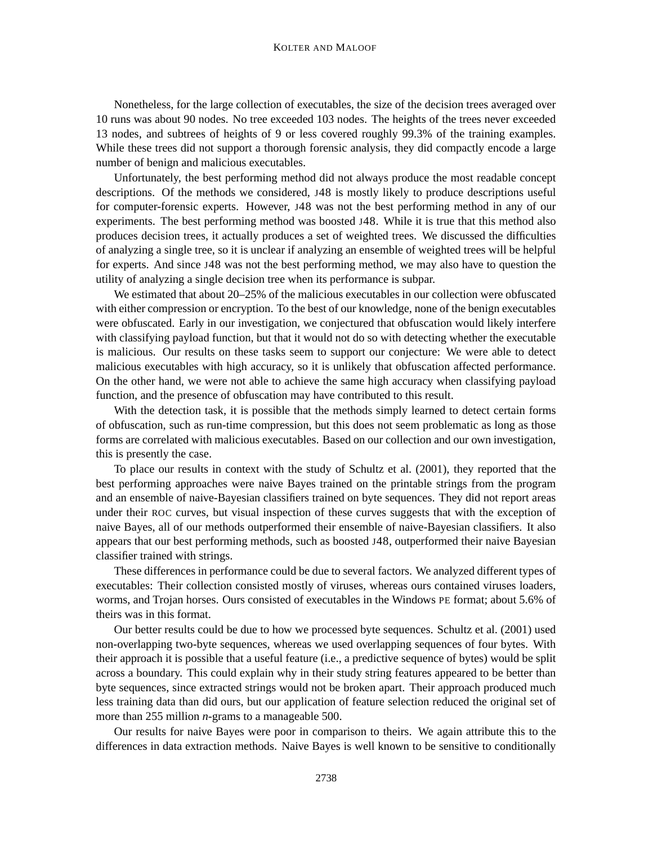#### KOLTER AND MALOOF

Nonetheless, for the large collection of executables, the size of the decision trees averaged over 10 runs was about 90 nodes. No tree exceeded 103 nodes. The heights of the trees never exceeded 13 nodes, and subtrees of heights of 9 or less covered roughly 99.3% of the training examples. While these trees did not support a thorough forensic analysis, they did compactly encode a large number of benign and malicious executables.

Unfortunately, the best performing method did not always produce the most readable concept descriptions. Of the methods we considered, J48 is mostly likely to produce descriptions useful for computer-forensic experts. However, J48 was not the best performing method in any of our experiments. The best performing method was boosted J48. While it is true that this method also produces decision trees, it actually produces a set of weighted trees. We discussed the difficulties of analyzing a single tree, so it is unclear if analyzing an ensemble of weighted trees will be helpful for experts. And since J48 was not the best performing method, we may also have to question the utility of analyzing a single decision tree when its performance is subpar.

We estimated that about 20–25% of the malicious executables in our collection were obfuscated with either compression or encryption. To the best of our knowledge, none of the benign executables were obfuscated. Early in our investigation, we conjectured that obfuscation would likely interfere with classifying payload function, but that it would not do so with detecting whether the executable is malicious. Our results on these tasks seem to support our conjecture: We were able to detect malicious executables with high accuracy, so it is unlikely that obfuscation affected performance. On the other hand, we were not able to achieve the same high accuracy when classifying payload function, and the presence of obfuscation may have contributed to this result.

With the detection task, it is possible that the methods simply learned to detect certain forms of obfuscation, such as run-time compression, but this does not seem problematic as long as those forms are correlated with malicious executables. Based on our collection and our own investigation, this is presently the case.

To place our results in context with the study of Schultz et al. (2001), they reported that the best performing approaches were naive Bayes trained on the printable strings from the program and an ensemble of naive-Bayesian classifiers trained on byte sequences. They did not report areas under their ROC curves, but visual inspection of these curves suggests that with the exception of naive Bayes, all of our methods outperformed their ensemble of naive-Bayesian classifiers. It also appears that our best performing methods, such as boosted J48, outperformed their naive Bayesian classifier trained with strings.

These differences in performance could be due to several factors. We analyzed different types of executables: Their collection consisted mostly of viruses, whereas ours contained viruses loaders, worms, and Trojan horses. Ours consisted of executables in the Windows PE format; about 5.6% of theirs was in this format.

Our better results could be due to how we processed byte sequences. Schultz et al. (2001) used non-overlapping two-byte sequences, whereas we used overlapping sequences of four bytes. With their approach it is possible that a useful feature (i.e., a predictive sequence of bytes) would be split across a boundary. This could explain why in their study string features appeared to be better than byte sequences, since extracted strings would not be broken apart. Their approach produced much less training data than did ours, but our application of feature selection reduced the original set of more than 255 million *n*-grams to a manageable 500.

Our results for naive Bayes were poor in comparison to theirs. We again attribute this to the differences in data extraction methods. Naive Bayes is well known to be sensitive to conditionally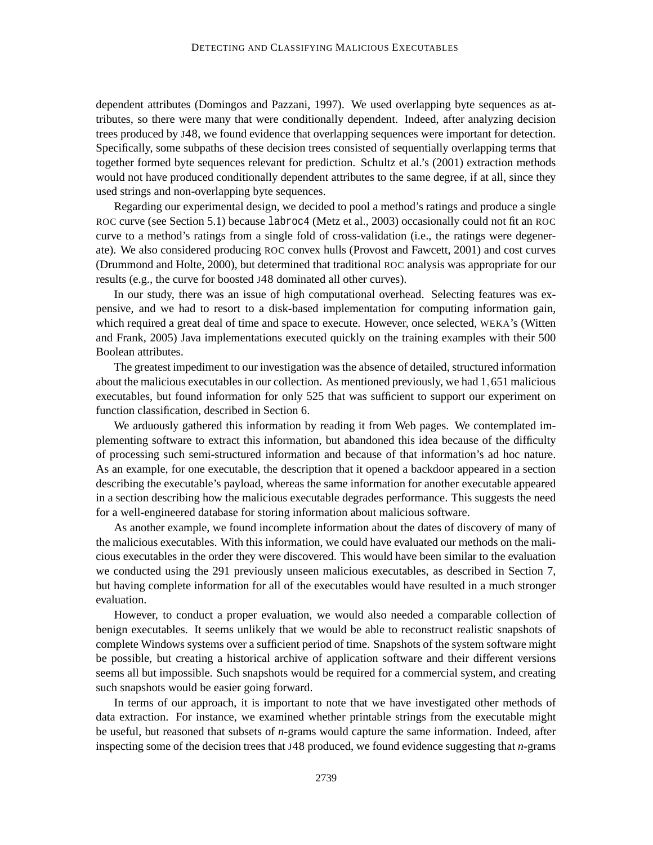dependent attributes (Domingos and Pazzani, 1997). We used overlapping byte sequences as attributes, so there were many that were conditionally dependent. Indeed, after analyzing decision trees produced by J48, we found evidence that overlapping sequences were important for detection. Specifically, some subpaths of these decision trees consisted of sequentially overlapping terms that together formed byte sequences relevant for prediction. Schultz et al.'s (2001) extraction methods would not have produced conditionally dependent attributes to the same degree, if at all, since they used strings and non-overlapping byte sequences.

Regarding our experimental design, we decided to pool a method's ratings and produce a single ROC curve (see Section 5.1) because labroc4 (Metz et al., 2003) occasionally could not fit an ROC curve to a method's ratings from a single fold of cross-validation (i.e., the ratings were degenerate). We also considered producing ROC convex hulls (Provost and Fawcett, 2001) and cost curves (Drummond and Holte, 2000), but determined that traditional ROC analysis was appropriate for our results (e.g., the curve for boosted J48 dominated all other curves).

In our study, there was an issue of high computational overhead. Selecting features was expensive, and we had to resort to a disk-based implementation for computing information gain, which required a great deal of time and space to execute. However, once selected, WEKA's (Witten and Frank, 2005) Java implementations executed quickly on the training examples with their 500 Boolean attributes.

The greatest impediment to our investigation was the absence of detailed, structured information about the malicious executables in our collection. As mentioned previously, we had 1,651 malicious executables, but found information for only 525 that was sufficient to support our experiment on function classification, described in Section 6.

We arduously gathered this information by reading it from Web pages. We contemplated implementing software to extract this information, but abandoned this idea because of the difficulty of processing such semi-structured information and because of that information's ad hoc nature. As an example, for one executable, the description that it opened a backdoor appeared in a section describing the executable's payload, whereas the same information for another executable appeared in a section describing how the malicious executable degrades performance. This suggests the need for a well-engineered database for storing information about malicious software.

As another example, we found incomplete information about the dates of discovery of many of the malicious executables. With this information, we could have evaluated our methods on the malicious executables in the order they were discovered. This would have been similar to the evaluation we conducted using the 291 previously unseen malicious executables, as described in Section 7, but having complete information for all of the executables would have resulted in a much stronger evaluation.

However, to conduct a proper evaluation, we would also needed a comparable collection of benign executables. It seems unlikely that we would be able to reconstruct realistic snapshots of complete Windows systems over a sufficient period of time. Snapshots of the system software might be possible, but creating a historical archive of application software and their different versions seems all but impossible. Such snapshots would be required for a commercial system, and creating such snapshots would be easier going forward.

In terms of our approach, it is important to note that we have investigated other methods of data extraction. For instance, we examined whether printable strings from the executable might be useful, but reasoned that subsets of *n*-grams would capture the same information. Indeed, after inspecting some of the decision trees that J48 produced, we found evidence suggesting that *n*-grams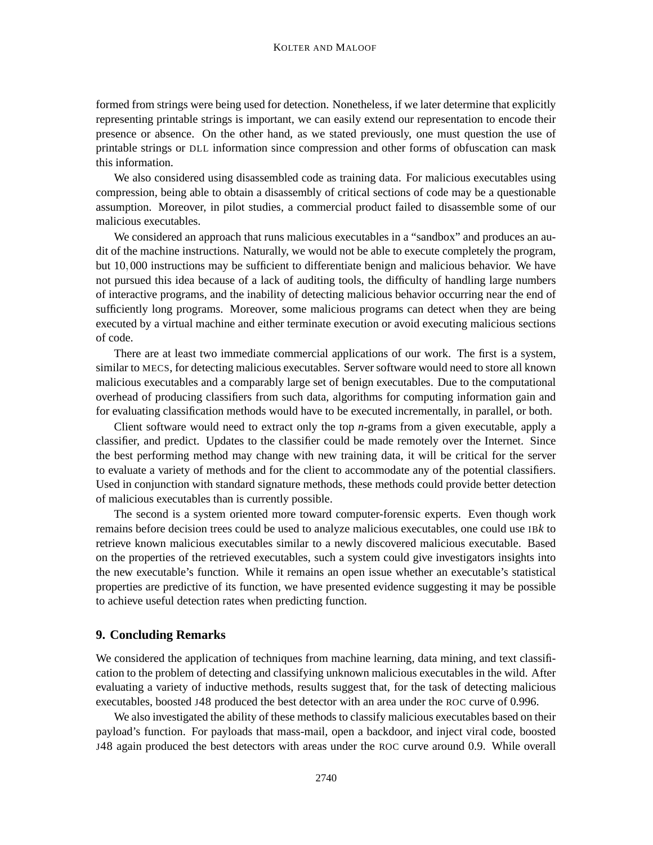formed from strings were being used for detection. Nonetheless, if we later determine that explicitly representing printable strings is important, we can easily extend our representation to encode their presence or absence. On the other hand, as we stated previously, one must question the use of printable strings or DLL information since compression and other forms of obfuscation can mask this information.

We also considered using disassembled code as training data. For malicious executables using compression, being able to obtain a disassembly of critical sections of code may be a questionable assumption. Moreover, in pilot studies, a commercial product failed to disassemble some of our malicious executables.

We considered an approach that runs malicious executables in a "sandbox" and produces an audit of the machine instructions. Naturally, we would not be able to execute completely the program, but 10,000 instructions may be sufficient to differentiate benign and malicious behavior. We have not pursued this idea because of a lack of auditing tools, the difficulty of handling large numbers of interactive programs, and the inability of detecting malicious behavior occurring near the end of sufficiently long programs. Moreover, some malicious programs can detect when they are being executed by a virtual machine and either terminate execution or avoid executing malicious sections of code.

There are at least two immediate commercial applications of our work. The first is a system, similar to MECS, for detecting malicious executables. Server software would need to store all known malicious executables and a comparably large set of benign executables. Due to the computational overhead of producing classifiers from such data, algorithms for computing information gain and for evaluating classification methods would have to be executed incrementally, in parallel, or both.

Client software would need to extract only the top *n*-grams from a given executable, apply a classifier, and predict. Updates to the classifier could be made remotely over the Internet. Since the best performing method may change with new training data, it will be critical for the server to evaluate a variety of methods and for the client to accommodate any of the potential classifiers. Used in conjunction with standard signature methods, these methods could provide better detection of malicious executables than is currently possible.

The second is a system oriented more toward computer-forensic experts. Even though work remains before decision trees could be used to analyze malicious executables, one could use IB*k* to retrieve known malicious executables similar to a newly discovered malicious executable. Based on the properties of the retrieved executables, such a system could give investigators insights into the new executable's function. While it remains an open issue whether an executable's statistical properties are predictive of its function, we have presented evidence suggesting it may be possible to achieve useful detection rates when predicting function.

## **9. Concluding Remarks**

We considered the application of techniques from machine learning, data mining, and text classification to the problem of detecting and classifying unknown malicious executables in the wild. After evaluating a variety of inductive methods, results suggest that, for the task of detecting malicious executables, boosted J48 produced the best detector with an area under the ROC curve of 0.996.

We also investigated the ability of these methods to classify malicious executables based on their payload's function. For payloads that mass-mail, open a backdoor, and inject viral code, boosted J48 again produced the best detectors with areas under the ROC curve around 0.9. While overall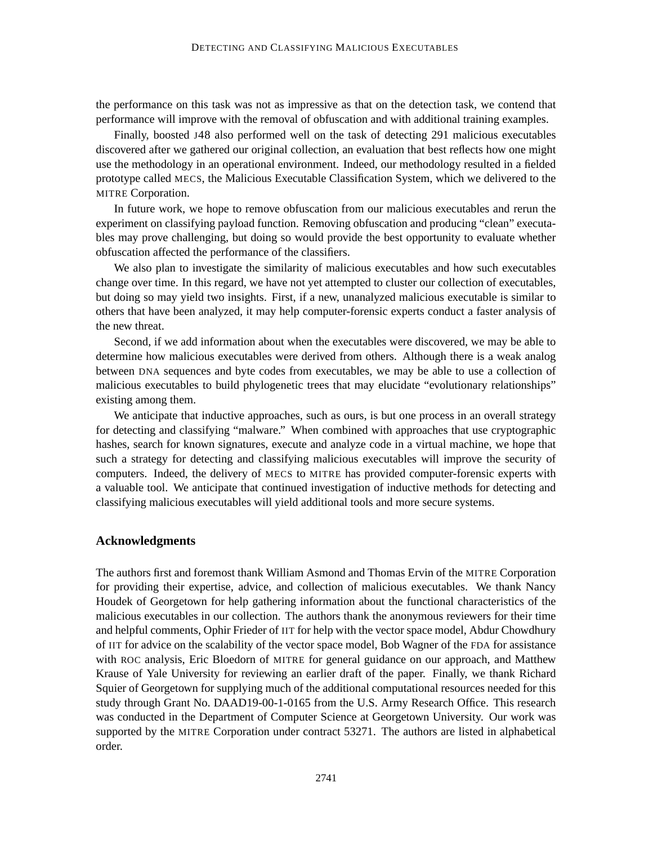the performance on this task was not as impressive as that on the detection task, we contend that performance will improve with the removal of obfuscation and with additional training examples.

Finally, boosted J48 also performed well on the task of detecting 291 malicious executables discovered after we gathered our original collection, an evaluation that best reflects how one might use the methodology in an operational environment. Indeed, our methodology resulted in a fielded prototype called MECS, the Malicious Executable Classification System, which we delivered to the MITRE Corporation.

In future work, we hope to remove obfuscation from our malicious executables and rerun the experiment on classifying payload function. Removing obfuscation and producing "clean" executables may prove challenging, but doing so would provide the best opportunity to evaluate whether obfuscation affected the performance of the classifiers.

We also plan to investigate the similarity of malicious executables and how such executables change over time. In this regard, we have not yet attempted to cluster our collection of executables, but doing so may yield two insights. First, if a new, unanalyzed malicious executable is similar to others that have been analyzed, it may help computer-forensic experts conduct a faster analysis of the new threat.

Second, if we add information about when the executables were discovered, we may be able to determine how malicious executables were derived from others. Although there is a weak analog between DNA sequences and byte codes from executables, we may be able to use a collection of malicious executables to build phylogenetic trees that may elucidate "evolutionary relationships" existing among them.

We anticipate that inductive approaches, such as ours, is but one process in an overall strategy for detecting and classifying "malware." When combined with approaches that use cryptographic hashes, search for known signatures, execute and analyze code in a virtual machine, we hope that such a strategy for detecting and classifying malicious executables will improve the security of computers. Indeed, the delivery of MECS to MITRE has provided computer-forensic experts with a valuable tool. We anticipate that continued investigation of inductive methods for detecting and classifying malicious executables will yield additional tools and more secure systems.

#### **Acknowledgments**

The authors first and foremost thank William Asmond and Thomas Ervin of the MITRE Corporation for providing their expertise, advice, and collection of malicious executables. We thank Nancy Houdek of Georgetown for help gathering information about the functional characteristics of the malicious executables in our collection. The authors thank the anonymous reviewers for their time and helpful comments, Ophir Frieder of IIT for help with the vector space model, Abdur Chowdhury of IIT for advice on the scalability of the vector space model, Bob Wagner of the FDA for assistance with ROC analysis, Eric Bloedorn of MITRE for general guidance on our approach, and Matthew Krause of Yale University for reviewing an earlier draft of the paper. Finally, we thank Richard Squier of Georgetown for supplying much of the additional computational resources needed for this study through Grant No. DAAD19-00-1-0165 from the U.S. Army Research Office. This research was conducted in the Department of Computer Science at Georgetown University. Our work was supported by the MITRE Corporation under contract 53271. The authors are listed in alphabetical order.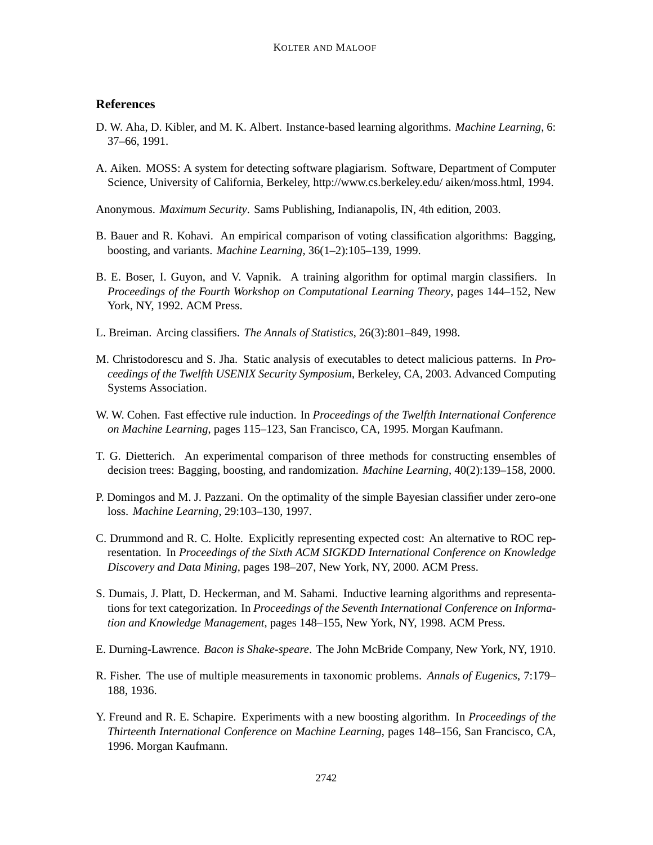## **References**

- D. W. Aha, D. Kibler, and M. K. Albert. Instance-based learning algorithms. *Machine Learning*, 6: 37–66, 1991.
- A. Aiken. MOSS: A system for detecting software plagiarism. Software, Department of Computer Science, University of California, Berkeley, http://www.cs.berkeley.edu/ aiken/moss.html, 1994.

Anonymous. *Maximum Security*. Sams Publishing, Indianapolis, IN, 4th edition, 2003.

- B. Bauer and R. Kohavi. An empirical comparison of voting classification algorithms: Bagging, boosting, and variants. *Machine Learning*, 36(1–2):105–139, 1999.
- B. E. Boser, I. Guyon, and V. Vapnik. A training algorithm for optimal margin classifiers. In *Proceedings of the Fourth Workshop on Computational Learning Theory*, pages 144–152, New York, NY, 1992. ACM Press.
- L. Breiman. Arcing classifiers. *The Annals of Statistics*, 26(3):801–849, 1998.
- M. Christodorescu and S. Jha. Static analysis of executables to detect malicious patterns. In *Proceedings of the Twelfth USENIX Security Symposium*, Berkeley, CA, 2003. Advanced Computing Systems Association.
- W. W. Cohen. Fast effective rule induction. In *Proceedings of the Twelfth International Conference on Machine Learning*, pages 115–123, San Francisco, CA, 1995. Morgan Kaufmann.
- T. G. Dietterich. An experimental comparison of three methods for constructing ensembles of decision trees: Bagging, boosting, and randomization. *Machine Learning*, 40(2):139–158, 2000.
- P. Domingos and M. J. Pazzani. On the optimality of the simple Bayesian classifier under zero-one loss. *Machine Learning*, 29:103–130, 1997.
- C. Drummond and R. C. Holte. Explicitly representing expected cost: An alternative to ROC representation. In *Proceedings of the Sixth ACM SIGKDD International Conference on Knowledge Discovery and Data Mining*, pages 198–207, New York, NY, 2000. ACM Press.
- S. Dumais, J. Platt, D. Heckerman, and M. Sahami. Inductive learning algorithms and representations for text categorization. In *Proceedings of the Seventh International Conference on Information and Knowledge Management*, pages 148–155, New York, NY, 1998. ACM Press.
- E. Durning-Lawrence. *Bacon is Shake-speare*. The John McBride Company, New York, NY, 1910.
- R. Fisher. The use of multiple measurements in taxonomic problems. *Annals of Eugenics*, 7:179– 188, 1936.
- Y. Freund and R. E. Schapire. Experiments with a new boosting algorithm. In *Proceedings of the Thirteenth International Conference on Machine Learning*, pages 148–156, San Francisco, CA, 1996. Morgan Kaufmann.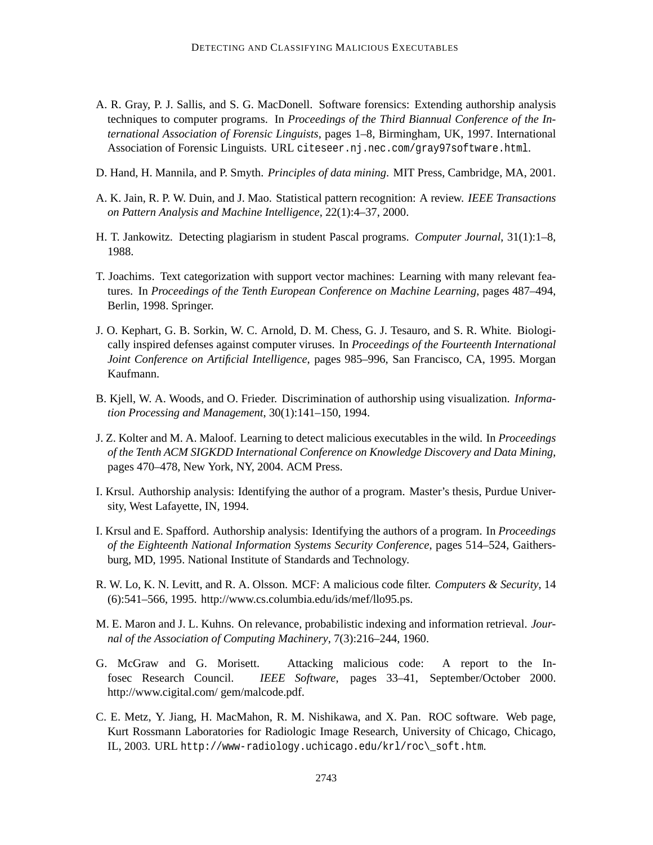- A. R. Gray, P. J. Sallis, and S. G. MacDonell. Software forensics: Extending authorship analysis techniques to computer programs. In *Proceedings of the Third Biannual Conference of the International Association of Forensic Linguists*, pages 1–8, Birmingham, UK, 1997. International Association of Forensic Linguists. URL citeseer.nj.nec.com/gray97software.html.
- D. Hand, H. Mannila, and P. Smyth. *Principles of data mining*. MIT Press, Cambridge, MA, 2001.
- A. K. Jain, R. P. W. Duin, and J. Mao. Statistical pattern recognition: A review. *IEEE Transactions on Pattern Analysis and Machine Intelligence*, 22(1):4–37, 2000.
- H. T. Jankowitz. Detecting plagiarism in student Pascal programs. *Computer Journal*, 31(1):1–8, 1988.
- T. Joachims. Text categorization with support vector machines: Learning with many relevant features. In *Proceedings of the Tenth European Conference on Machine Learning*, pages 487–494, Berlin, 1998. Springer.
- J. O. Kephart, G. B. Sorkin, W. C. Arnold, D. M. Chess, G. J. Tesauro, and S. R. White. Biologically inspired defenses against computer viruses. In *Proceedings of the Fourteenth International Joint Conference on Artificial Intelligence*, pages 985–996, San Francisco, CA, 1995. Morgan Kaufmann.
- B. Kjell, W. A. Woods, and O. Frieder. Discrimination of authorship using visualization. *Information Processing and Management*, 30(1):141–150, 1994.
- J. Z. Kolter and M. A. Maloof. Learning to detect malicious executables in the wild. In *Proceedings of the Tenth ACM SIGKDD International Conference on Knowledge Discovery and Data Mining*, pages 470–478, New York, NY, 2004. ACM Press.
- I. Krsul. Authorship analysis: Identifying the author of a program. Master's thesis, Purdue University, West Lafayette, IN, 1994.
- I. Krsul and E. Spafford. Authorship analysis: Identifying the authors of a program. In *Proceedings of the Eighteenth National Information Systems Security Conference*, pages 514–524, Gaithersburg, MD, 1995. National Institute of Standards and Technology.
- R. W. Lo, K. N. Levitt, and R. A. Olsson. MCF: A malicious code filter. *Computers & Security*, 14 (6):541–566, 1995. http://www.cs.columbia.edu/ids/mef/llo95.ps.
- M. E. Maron and J. L. Kuhns. On relevance, probabilistic indexing and information retrieval. *Journal of the Association of Computing Machinery*, 7(3):216–244, 1960.
- G. McGraw and G. Morisett. Attacking malicious code: A report to the Infosec Research Council. *IEEE Software*, pages 33–41, September/October 2000. http://www.cigital.com/ gem/malcode.pdf.
- C. E. Metz, Y. Jiang, H. MacMahon, R. M. Nishikawa, and X. Pan. ROC software. Web page, Kurt Rossmann Laboratories for Radiologic Image Research, University of Chicago, Chicago, IL, 2003. URL http://www-radiology.uchicago.edu/krl/roc\\_soft.htm.